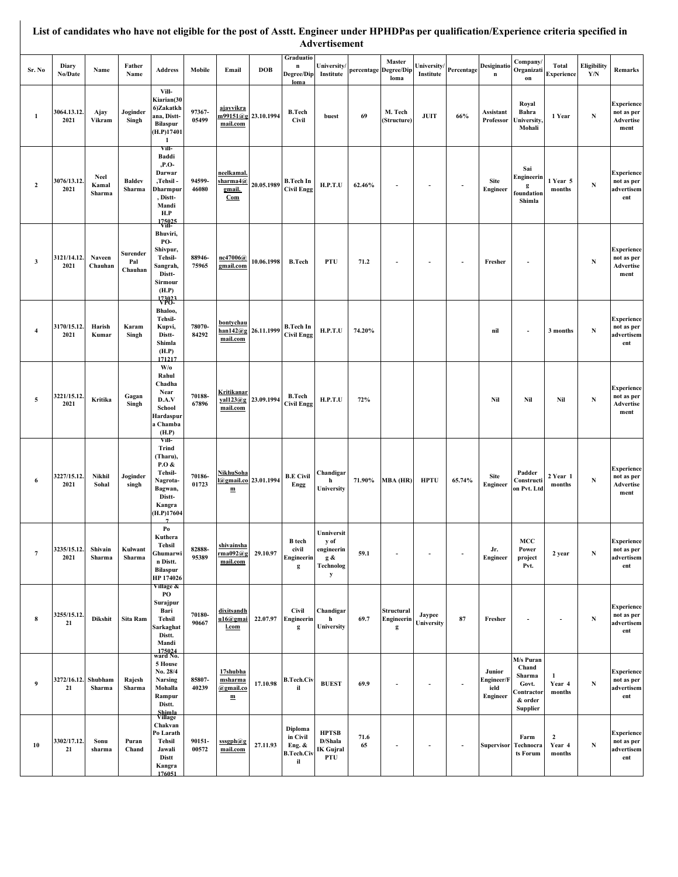|                |                     |                                |                            | List of candidates who have not eligible for the post of Asstt. Engineer under HPHDPas per qualification/Experience criteria specified in |                 |                                         |                       |                                                          | Advertisement                                                     |            |                                         |                                   |                          |                                          |                                                                                   |                                    |                                        |                                                      |
|----------------|---------------------|--------------------------------|----------------------------|-------------------------------------------------------------------------------------------------------------------------------------------|-----------------|-----------------------------------------|-----------------------|----------------------------------------------------------|-------------------------------------------------------------------|------------|-----------------------------------------|-----------------------------------|--------------------------|------------------------------------------|-----------------------------------------------------------------------------------|------------------------------------|----------------------------------------|------------------------------------------------------|
| Sr. No         | Diary<br>No/Date    | Name                           | Father<br>Name             | <b>Address</b>                                                                                                                            | Mobile          | Email                                   | <b>DOB</b>            | Graduatio<br>n<br>Degree/Dip<br>loma                     | <b>University</b><br>Institute                                    |            | Master<br>percentage Degree/Dip<br>loma | U <b>niversity</b> /<br>Institute | Percentage               | Desiginatio<br>n                         | Company/<br>Organizati<br>on                                                      | Total<br><b>Experience</b>         | Eligibility<br>$\mathbf{Y}/\mathbf{N}$ | Remarks                                              |
| $\mathbf{1}$   | 3064.13.12.<br>2021 | Ajay<br>Vikram                 | Joginder<br>Singh          | Vill-<br>Kiarian(30<br>6)Zakatkh<br>ana, Distt-<br><b>Bilaspur</b><br>(H.P)17401<br>1                                                     | 97367-<br>05499 | ajayvikra<br>mail.com                   | m99151@g 23.10.1994   | <b>B.Tech</b><br><b>Civil</b>                            | buest                                                             | 69         | M. Tech<br>(Structure)                  | <b>JUIT</b>                       | 66%                      | Assistant<br>Professor                   | Royal<br>Bahra<br>Iniversity,<br>Mohali                                           | 1 Year                             | $\mathbf N$                            | <b>Experience</b><br>not as per<br>Advertise<br>ment |
| $\overline{2}$ | 3076/13.12.<br>2021 | <b>Neel</b><br>Kamal<br>Sharma | <b>Baldev</b><br>Sharma    | Vill-<br>Baddi<br>,P.O-<br>Darwar<br>,Tehsil -<br>Dharmpur<br>, Distt-<br>Mandi<br>H.P<br>$\frac{175025}{1000}$                           | 94599-<br>46080 | neelkamal.<br>sharma4@<br>gmail.<br>Com | 20.05.1989            | <b>B.Tech In</b><br><b>Civil Engg</b>                    | H.P.T.U                                                           | 62.46%     | $\blacksquare$                          | $\blacksquare$                    |                          | Site<br><b>Engineer</b>                  | Sai<br>Engineerin<br>g<br>foundation<br>Shimla                                    | 1 Year 5<br>months                 | $\mathbf N$                            | <b>Experience</b><br>not as per<br>advertisem<br>ent |
| $\mathbf{3}$   | 3121/14.12.<br>2021 | Naveen<br>Chauhan              | Surender<br>Pal<br>Chauhan | Bhuviri,<br>PO-<br>Shivpur,<br>Tehsil-<br>Sangrah,<br>Distt-<br>Sirmour<br>(H.P)<br>173023                                                | 88946-<br>75965 | nc47006@<br>gmail.com                   | 10.06.1998            | <b>B.Tech</b>                                            | PTU                                                               | 71.2       | $\overline{\phantom{a}}$                | $\blacksquare$                    | $\sim$                   | Fresher                                  | $\sim$                                                                            |                                    | N                                      | <b>Experience</b><br>not as per<br>Advertise<br>ment |
| 4              | 3170/15.12.<br>2021 | Harish<br>Kumar                | Karam<br>Singh             | Bhaloo,<br>Tehsil-<br>Kupvi,<br>Distt-<br>Shimla<br>(H.P)<br>171217                                                                       | 78070-<br>84292 | bontychau<br>mail.com                   | $han142@g$ 26.11.1999 | <b>B.Tech In</b><br><b>Civil Engg</b>                    | H.P.T.U                                                           | 74.20%     |                                         |                                   |                          | nil                                      | $\overline{\phantom{a}}$                                                          | 3 months                           | N                                      | <b>Experience</b><br>not as per<br>advertisem<br>ent |
| 5              | 3221/15.12.<br>2021 | Kritika                        | Gagan<br>Singh             | $\mathbf{W}/\mathbf{o}$<br>Rahul<br>Chadha<br>Near<br>D.A.V<br>School<br>Hardaspur<br>a Chamba<br>(H.P)                                   | 70188-<br>67896 | Kritikanar<br>val123@g<br>mail.com      | 23.09.1994            | <b>B.Tech</b><br><b>Civil Engg</b>                       | H.P.T.U                                                           | 72%        |                                         |                                   |                          | Nil                                      | Nil                                                                               | Nil                                | $\mathbf N$                            | <b>Experience</b><br>not as per<br>Advertise<br>ment |
| 6              | 3227/15.12.<br>2021 | Nikhil<br>Sohal                | Joginder<br>singh          | Vill-<br><b>Trind</b><br>(Tharu),<br>P.O &<br>Tehsil-<br>Nagrota-<br>Bagwan,<br>Distt-<br>Kangra<br>(H.P)17604<br>$\overline{7}$          | 70186-<br>01723 | NikhuSoha<br>m                          | @gmail.co 23.01.1994  | <b>B.E Civil</b><br>Engg                                 | Chandigar<br>h<br>University                                      | 71.90%     | MBA (HR)                                | <b>HPTU</b>                       | 65.74%                   | Site<br>Engineer                         | Padder<br>Constructi<br>on Pvt. Ltd                                               | 2 Year 1<br>months                 | N                                      | <b>Experience</b><br>not as per<br>Advertise<br>ment |
| $\overline{7}$ | 3235/15.12.<br>2021 | Shivain<br>Sharma              | Kulwant<br>Sharma          | $\mathbf{Po}$<br>Kuthera<br><b>Tehsil</b><br>Ghumarwi<br>n Distt.<br><b>Bilaspur</b><br>HP 174026                                         | 82888-<br>95389 | shivainsha<br>rma092@g<br>mail.com      | 29.10.97              | <b>B</b> tech<br>civil<br>Engineerin<br>g                | Unniversit<br>y of<br>engineerin<br>g &<br>Technolog<br>${\bf y}$ | 59.1       | $\blacksquare$                          | $\blacksquare$                    | $\overline{\phantom{a}}$ | Jr.<br><b>Engineer</b>                   | MCC<br>Power<br>project<br>Pvt.                                                   | 2 year                             | $\mathbf N$                            | <b>Experience</b><br>not as per<br>advertisem<br>ent |
| 8              | 3255/15.12.<br>21   | <b>Dikshit</b>                 | Sita Ram                   | Village &<br>PO<br>Surajpur<br>Bari<br><b>Tehsil</b><br>Sarkaghat<br>Distt.<br>Mandi                                                      | 70180-<br>90667 | dixitsandh<br>u16@gmai<br>l.com         | 22.07.97              | Civil<br>Engineerin<br>g                                 | Chandigar<br>h<br>University                                      | 69.7       | Structural<br>Engineerin<br>g           | Jaypee<br>University              | 87                       | Fresher                                  |                                                                                   |                                    | N                                      | <b>Experience</b><br>not as per<br>advertisem<br>ent |
| 9              | 3272/16.12.<br>21   | Shubham<br>Sharma              | Rajesh<br>Sharma           | 175024<br>ward No.<br>5 House<br>No. 28/4<br><b>Narsing</b><br>Mohalla<br>Rampur<br>Distt.<br>Shimla<br>Village                           | 85807-<br>40239 | 17shubha<br>msharma<br>@gmail.co<br>m   | 17.10.98              | <b>B.Tech.Civ</b><br>il                                  | <b>BUEST</b>                                                      | 69.9       | $\blacksquare$                          |                                   |                          | Junior<br>Engineer/F<br>ield<br>Engineer | M/s Puran<br>Chand<br>Sharma<br>Govt.<br>Contractor<br>& order<br><b>Supplier</b> | 1<br>Year 4<br>months              | N                                      | <b>Experience</b><br>not as per<br>advertisem<br>ent |
| 10             | 3302/17.12.<br>21   | Sonu<br>sharma                 | Puran<br>Chand             | Chakvan<br>Po Larath<br><b>Tehsil</b><br>Jawali<br>Distt<br>Kangra<br>176051                                                              | 90151-<br>00572 | ssseph@g<br>mail.com                    | 27.11.93              | Diploma<br>in Civil<br>Eng. &<br><b>B.Tech.Civ</b><br>il | <b>HPTSB</b><br>D/Shala<br><b>IK</b> Gujral<br>PTU                | 71.6<br>65 | $\overline{\phantom{a}}$                |                                   |                          | Supervisor                               | Farm<br>Technocra<br>ts Forum                                                     | $\overline{2}$<br>Year 4<br>months | ${\bf N}$                              | <b>Experience</b><br>not as per<br>advertisem<br>ent |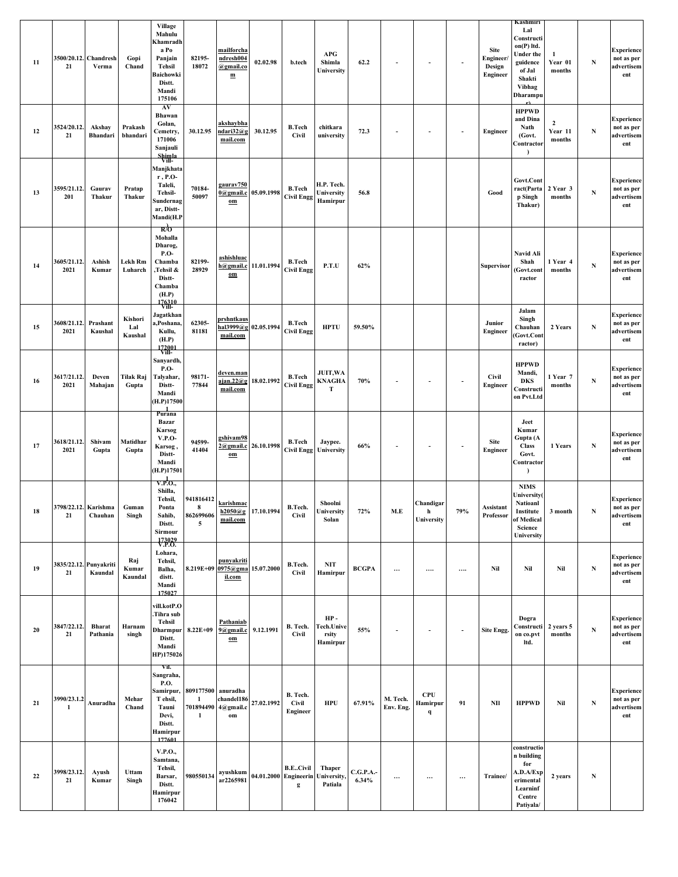| 11 | 21                           | 3500/20.12. Chandresh<br>Verma | Gopi<br>Chand             | Village<br>Mahulu<br>Khamradh<br>a Po<br>Panjain<br>Tehsil<br>Baichowki<br>Distt.<br>Mandi<br>175106            | 82195-<br>18072                         | mailforcha<br>ndresh004<br>@gmail.co<br>$\mathbf{m}$              | 02.02.98   | b.tech                                                    | <b>APG</b><br>Shimla<br>University            | 62.2              | $\sim$                   | $\sim$                                | $\sim$                   | <b>Site</b><br><b>Engineer</b><br>Design<br><b>Engineer</b> | Kashmiri<br>Lal<br>Constructi<br>on(P) ltd.<br>Under the<br>guidence<br>of Jal<br>Shakti<br><b>Vibhag</b><br>Dharampu | 1<br>Year 01<br>months                | $\mathbf N$ | <b>Experience</b><br>not as per<br>advertisem<br>ent |
|----|------------------------------|--------------------------------|---------------------------|-----------------------------------------------------------------------------------------------------------------|-----------------------------------------|-------------------------------------------------------------------|------------|-----------------------------------------------------------|-----------------------------------------------|-------------------|--------------------------|---------------------------------------|--------------------------|-------------------------------------------------------------|-----------------------------------------------------------------------------------------------------------------------|---------------------------------------|-------------|------------------------------------------------------|
| 12 | 3524/20.12.<br>21            | Akshay<br>Bhandari             | Prakash<br>bhandari       | AV<br>Bhawan<br>Golan,<br>Cemetry,<br>171006<br>Sanjauli<br>Shimla<br>Vill-                                     | 30.12.95                                | akshaybha<br>ndari32@g<br>mail.com                                | 30.12.95   | <b>B.Tech</b><br><b>Civil</b>                             | chitkara<br>university                        | 72.3              |                          |                                       | $\overline{\phantom{a}}$ | <b>Engineer</b>                                             | <b>HPPWD</b><br>and Dina<br>Nath<br>(Govt.<br>Contractor<br>$\lambda$                                                 | $\boldsymbol{2}$<br>Year 11<br>months | $\mathbf N$ | <b>Experience</b><br>not as per<br>advertisem<br>ent |
| 13 | 3595/21.12.<br>201           | Gaurav<br>Thakur               | Pratap<br>Thakur          | Manjkhata<br>$r, P.O-$<br>Taleli,<br><b>Tehsil-</b><br>Sundernag<br>ar, Distt-<br>Mandi(H.P                     | 70184-<br>50097                         | gaurav750<br>$0$ @gmail.c<br>$om$                                 | 05.09.1998 | <b>B.Tech</b><br><b>Civil Engg</b>                        | H.P. Tech.<br>University<br>Hamirpur          | 56.8              |                          |                                       |                          | Good                                                        | Govt.Cont<br>ract(Parta<br>p Singh<br>Thakur)                                                                         | 2 Year 3<br>months                    | N           | <b>Experience</b><br>not as per<br>advertisem<br>ent |
| 14 | 3605/21.12.<br>2021          | Ashish<br>Kumar                | Lekh Rm<br>Luharch        | к/о<br>Mohalla<br>Dharog,<br><b>P.O-</b><br>Chamba<br>,Tehsil &<br>Distt-<br>Chamba<br>(H.P)<br>176310<br>Vill- | 82199-<br>28929                         | ashishluac<br>h@gmail.c 11.01.1994<br>$om$                        |            | <b>B.Tech</b><br><b>Civil Engg</b>                        | P.T.U                                         | 62%               |                          |                                       |                          | <b>Supervisor</b>                                           | Navid Ali<br>Shah<br>Govt.cont)<br>ractor                                                                             | 1 Year 4<br>months                    | ${\bf N}$   | <b>Experience</b><br>not as per<br>advertisem<br>ent |
| 15 | 3608/21.12.<br>2021          | Prashant<br>Kaushal            | Kishori<br>Lal<br>Kaushal | Jagatkhan<br>a,Poshana,<br>Kullu,<br>(H.P)<br>172001                                                            | 62305-<br>81181                         | prshntkaus<br>hal $3999@g$<br>mail.com                            | 02.05.1994 | <b>B.Tech</b><br><b>Civil Engg</b>                        | <b>HPTU</b>                                   | 59.50%            |                          |                                       |                          | Junior<br>Engineer                                          | Jalam<br>Singh<br>Chauhan<br>Govt.Cont<br>ractor)                                                                     | 2 Years                               | $\mathbf N$ | <b>Experience</b><br>not as per<br>advertisem<br>ent |
| 16 | 3617/21.12.<br>2021          | Deven<br>Mahajan               | Tilak Raj<br>Gupta        | Sanyardh,<br><b>P.O-</b><br>Talyahar,<br>Distt-<br>Mandi<br>(H.P)17500<br>$\frac{1}{Purana}$                    | 98171-<br>77844                         | deven.man<br>$a$ ian. $22@g$<br>mail.com                          | 18.02.1992 | <b>B.Tech</b><br><b>Civil Engg</b>                        | JUIT, WA<br><b>KNAGHA</b><br>Т                | 70%               | $\blacksquare$           |                                       |                          | <b>Civil</b><br><b>Engineer</b>                             | <b>HPPWD</b><br>Mandi,<br><b>DKS</b><br>Constructi<br>on Pvt.Ltd                                                      | 1 Year 7<br>months                    | $\mathbf N$ | <b>Experience</b><br>not as per<br>advertisem<br>ent |
| 17 | 3618/21.12.<br>2021          | Shivam<br>Gupta                | Matidhar<br>Gupta         | Bazar<br>Karsog<br><b>V.P.O-</b><br>, Karsog<br>Distt-<br>Mandi<br>(H.P)17501                                   | 94599-<br>41404                         | zshivam98<br>2@gmail.c<br>$om$                                    | 26.10.1998 | <b>B.Tech</b>                                             | Jaypee.<br><b>Civil Engg University</b>       | 66%               |                          |                                       |                          | Site<br><b>Engineer</b>                                     | Jeet<br>Kumar<br>Gupta (A<br><b>Class</b><br>Govt.<br>Contractor<br>$\lambda$                                         | 1 Years                               | N           | <b>Experience</b><br>not as per<br>advertisem<br>ent |
| 18 | 3798/22.12. Karishma<br>21   | Chauhan                        | Guman<br>Singh            | V.P.O.,<br>Shilla,<br>Tehsil,<br>Ponta<br>Sahib,<br>Distt.<br>Sirmour<br>173029<br>V.P.O.                       | 941816412<br>8<br>5                     | karishmac<br>$862699606 \frac{h2050@g}{h}$ 17.10.1994<br>mail.com |            | B.Tech.<br>Civil                                          | Shoolni<br>University<br>Solan                | 72%               | M.E                      | Chandigar<br>h<br>University          | 79%                      | Assistant<br>Professor                                      | <b>NIMS</b><br>U <b>niversity(</b><br>Natioanl<br>Institute<br>of Medical<br>${\bf Science}$<br>University            | 3 month                               | $\mathbf N$ | <b>Experience</b><br>not as per<br>advertisem<br>ent |
| 19 | 3835/22.12. Punyakriti<br>21 | Kaundal                        | Raj<br>Kumar<br>Kaundal   | Lohara,<br>Tehsil,<br>Balha,<br>distt.<br>Mandi<br>175027                                                       |                                         | punyakriti<br>8.219E+09 0975@gma 15.07.2000<br>il.com             |            | B.Tech.<br><b>Civil</b>                                   | $\ensuremath{\text{\bf NIT}}$<br>Hamirpur     | <b>BCGPA</b>      | $\cdots$                 | $\cdots$                              |                          | Nil                                                         | Nil                                                                                                                   | Nil                                   | $\mathbf N$ | <b>Experience</b><br>not as per<br>advertisem<br>ent |
| 20 | 3847/22.12.<br>21            | <b>Bharat</b><br>Pathania      | Harnam<br>singh           | vill.kotP.O<br>Tihra sub<br>Tehsil<br>Dharmpur<br>Distt.<br>Mandi<br>HP)175026                                  | 8.22E+09                                | Pathaniab<br>9@gmail.c<br>$0\,$ m                                 | 9.12.1991  | B. Tech.<br><b>Civil</b>                                  | <b>HP-</b><br>Tech.Unive<br>rsity<br>Hamirpur | 55%               | $\overline{\phantom{a}}$ |                                       | $\overline{\phantom{a}}$ | <b>Site Engg.</b>                                           | Dogra<br>Constructi<br>on co.pvt<br>ltd.                                                                              | 2 years 5<br>months                   | ${\bf N}$   | <b>Experience</b><br>not as per<br>advertisem<br>ent |
| 21 | 3990/23.1.2<br>$\mathbf{1}$  | Anuradha                       | Mehar<br>Chand            | Vil.<br>Sangraha,<br><b>P.O.</b><br>Samirpur,<br>T ehsil,<br>Tauni<br>Devi,<br>Distt.<br>Hamirpur<br>177601     | 809177500 anuradha<br>1<br>$\mathbf{1}$ | chandel186<br>701894490 4@gmail.c<br>$\bf{om}$                    | 27.02.1992 | B. Tech.<br><b>Civil</b><br>Engineer                      | <b>HPU</b>                                    | 67.91%            | M. Tech.<br>Env. Eng.    | <b>CPU</b><br>Hamirpur<br>$\mathbf q$ | 91                       | NII                                                         | <b>HPPWD</b>                                                                                                          | Nil                                   | ${\bf N}$   | <b>Experience</b><br>not as per<br>advertisem<br>ent |
| 22 | 3998/23.12.<br>21            | Ayush<br>Kumar                 | Uttam<br>Singh            | V.P.O.,<br>Samtana,<br>Tehsil,<br>Barsar,<br>Distt.<br>Hamirpur<br>176042                                       | 980550134                               | ayushkum<br>ar2265981                                             |            | <b>B.ECivil</b><br>04.01.2000 Engineerin University.<br>g | <b>Thaper</b><br>Patiala                      | C.G.P.A.<br>6.34% |                          | $\cdots$                              | $\cdots$                 | Trainee/                                                    | constructio<br>n building<br>for<br>A.D.A/Exp<br>erimental<br>Learninf<br>Centre<br>Patiyala/                         | 2 years                               | ${\bf N}$   |                                                      |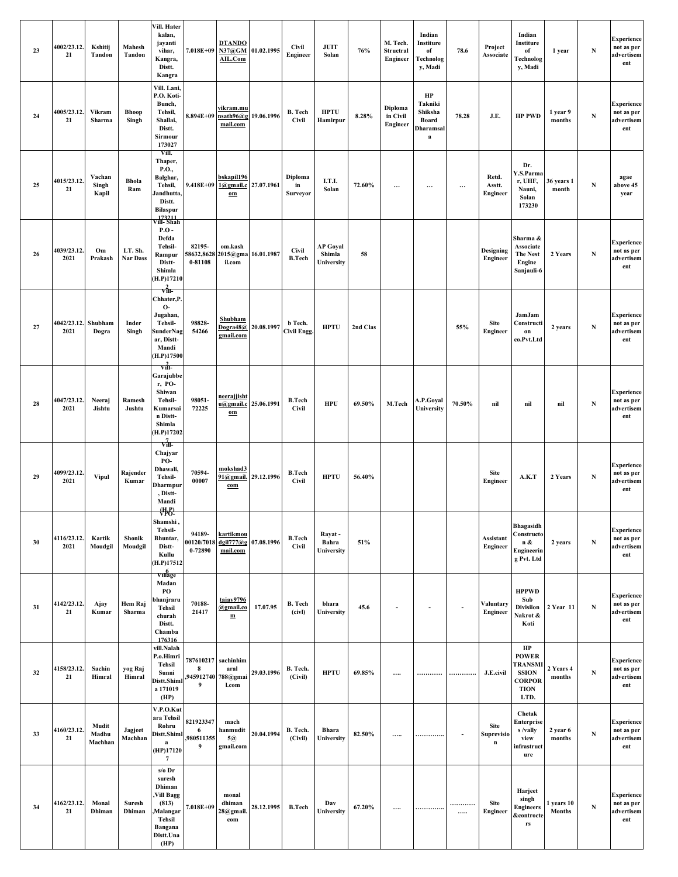| 23 | 4002/23.12.<br>21           | Kshitij<br>Tandon         | Mahesh<br>Tandon           | Vill. Hater<br>kalan,<br>jayanti<br>vihar,<br>Kangra,<br>Distt.<br>Kangra                                               | 7.018E+09                           | <b>DTANDO</b><br>N37@GM 01.02.1995<br>AIL.Com           |                      | <b>Civil</b><br>Engineer       | <b>JUIT</b><br>Solan                    | 76%      | M. Tech.<br>Structral<br><b>Engineer</b> | Indian<br>Institure<br>of<br>Technolog<br>y, Madi              | 78.6     | Project<br>Associate                     | Indian<br>Institure<br>of<br>Technolog<br>y, Madi                                     | 1 year                      | ${\bf N}$   | <b>Experience</b><br>not as per<br>advertisem<br>ent |
|----|-----------------------------|---------------------------|----------------------------|-------------------------------------------------------------------------------------------------------------------------|-------------------------------------|---------------------------------------------------------|----------------------|--------------------------------|-----------------------------------------|----------|------------------------------------------|----------------------------------------------------------------|----------|------------------------------------------|---------------------------------------------------------------------------------------|-----------------------------|-------------|------------------------------------------------------|
| 24 | 4005/23.12.<br>21           | Vikram<br>Sharma          | <b>Bhoop</b><br>Singh      | Vill. Lani,<br>P.O. Koti-<br>Bunch,<br>Tehsil,<br>Shallai,<br>Distt.<br>Sirmour<br>173027                               |                                     | vikram.mu<br>8.894E+09 nsath96@g 19.06.1996<br>mail.com |                      | <b>B.</b> Tech<br><b>Civil</b> | <b>HPTU</b><br>Hamirpur                 | 8.28%    | Diploma<br>in Civil<br>Engineer          | HP<br>Takniki<br>Shiksha<br>Board<br>Dharamsal<br>$\mathbf{a}$ | 78.28    | J.E.                                     | <b>HP PWD</b>                                                                         | 1 year 9<br>months          | ${\bf N}$   | <b>Experience</b><br>not as per<br>advertisem<br>ent |
| 25 | 4015/23.12.<br>21           | Vachan<br>Singh<br>Kapil  | <b>Bhola</b><br>Ram        | Vill.<br>Thaper,<br>P.O.,<br>Balghar,<br>Tehsil,<br>Jandhutta,<br>Distt.<br><b>Bilaspur</b><br>vill- Shah<br>Vill- Shah | 9.418E+09                           | bskapil196<br>1@gmail.c 27.07.1961<br>$0\,$ m           |                      | Diploma<br>in<br>Surveyor      | I.T.I.<br>Solan                         | 72.60%   | $\cdots$                                 | $\cdots$                                                       | $\cdots$ | Retd.<br>Asstt.<br><b>Engineer</b>       | Dr.<br>Y.S.Parma<br>r, UHF,<br>Nauni,<br>Solan<br>173230                              | 36 years 1<br>month         | $\mathbf N$ | agae<br>above 45<br>year                             |
| 26 | 4039/23.12<br>2021          | Om<br>Prakash             | LT. Sh.<br><b>Nar Dass</b> | $P.O$ -<br>Defda<br>Tehsil-<br>Rampur<br>Distt-<br>Shimla<br>(H.P)17210<br>$\frac{2}{\text{v}}$                         | 82195-<br>58632,8628<br>0-81108     | om.kash<br>2015@gma 16.01.1987<br>il.com                |                      | <b>Civil</b><br><b>B.Tech</b>  | <b>AP Goyal</b><br>Shimla<br>University | 58       |                                          |                                                                |          | Designing<br><b>Engineer</b>             | Sharma &<br><b>Associate</b><br><b>The Nest</b><br>Engine<br>Sanjauli-6               | 2 Years                     | N           | <b>Experience</b><br>not as per<br>advertisem<br>ent |
| 27 | 4042/23.12. Shubham<br>2021 | Dogra                     | Inder<br>Singh             | Chhater,P.<br>$O-$<br>Jugahan,<br><b>Tehsil-</b><br>SunderNag<br>ar, Distt-<br>Mandi<br>(H.P)17500                      | 98828-<br>54266                     | Shubham<br>Doqra48@<br>gmail.com                        | 20.08.1997           | b Tech.<br>Civil Engg.         | <b>HPTU</b>                             | 2nd Clas |                                          |                                                                | 55%      | <b>Site</b><br>Engineer                  | JamJam<br>Constructi<br>$\mathbf{on}$<br>co.Pvt.Ltd                                   | 2 years                     | N           | <b>Experience</b><br>not as per<br>advertisem<br>ent |
| 28 | 4047/23.12.<br>2021         | Neeraj<br>Jishtu          | Ramesh<br>Jushtu           | $\overrightarrow{\text{v}}$<br>Garajubbe<br>r, PO-<br>Shiwan<br>Tehsil-<br>Kumarsai<br>n Distt-<br>Shimla<br>(H.P)17202 | 98051-<br>72225                     | neerajjisht<br>u@gmail.c 25.06.1991<br>$0\,$ m          |                      | <b>B.Tech</b><br><b>Civil</b>  | <b>HPU</b>                              | 69.50%   | M.Tech                                   | A.P.Goyal<br>University                                        | 70.50%   | nil                                      | nil                                                                                   | nil                         | $\mathbf N$ | <b>Experience</b><br>not as per<br>advertisem<br>ent |
| 29 | 4099/23.12.<br>2021         | <b>Vipul</b>              | Rajender<br>Kumar          | $\sqrt{m}$<br>Chajyar<br>PO-<br>Dhawali,<br><b>Tehsil-</b><br>Dharmpur<br>, Distt-<br>Mandi                             | 70594-<br>00007                     | mokshad3<br>com                                         | 91@gmail. 29.12.1996 | <b>B.Tech</b><br>Civil         | <b>HPTU</b>                             | 56.40%   |                                          |                                                                |          | Site<br>Engineer                         | A.K.T                                                                                 | 2 Years                     | ${\bf N}$   | <b>Experience</b><br>not as per<br>advertisem<br>ent |
| 30 | 4116/23.12.<br>2021         | Kartik<br>Moudgil         | Shonik<br>Moudgil          | <b>(节)</b><br>Shamshi,<br>Tehsil-<br>Bhuntar,<br>Distt-<br>Kullu<br>(H.P)17512<br>Village                               | 94189-<br>00120/7018<br>$0 - 72890$ | kartikmou<br>dgil777@g 07.08.1996<br>mail.com           |                      | <b>B.Tech</b><br>Civil         | Rayat-<br>Bahra<br>University           | 51%      |                                          |                                                                |          | Assistant<br>Engineer                    | <b>Bhagasidh</b><br>Constructo<br>n &<br>Engineerin<br>g Pvt. Ltd                     | 2 years                     | $\mathbf N$ | <b>Experience</b><br>not as per<br>advertisem<br>ent |
| 31 | 4142/23.12.<br>21           | Ajay<br>Kumar             | Hem Raj<br>Sharma          | Madan<br>PO<br>bhanjraru<br><b>Tehsil</b><br>churah<br>Distt.<br>Chamba<br>176316                                       | 70188-<br>21417                     | tajav9796<br>@gmail.co<br>$\mathbf{m}$                  | 17.07.95             | <b>B.</b> Tech<br>(civl)       | bhara<br>University                     | 45.6     | $\overline{\phantom{a}}$                 |                                                                | $\sim$   | Valuntary<br>Engineer                    | <b>HPPWD</b><br>Sub<br>Divisiion<br>Nakrot &<br>Koti                                  | 2 Year 11                   | $\mathbf N$ | <b>Experience</b><br>not as per<br>advertisem<br>ent |
| 32 | 4158/23.12.<br>21           | Sachin<br>Himral          | yog Raj<br>Himral          | vill.Nalah<br>P.o.Himri<br><b>Tehsil</b><br>Sunni<br>Distt.Shiml<br>a 171019<br>(HP)                                    | 787610217 sachinhim<br>8<br>9       | aral<br>,945912740 788@gmai<br>l.com                    | 29.03.1996           | B. Tech.<br>(Civil)            | <b>HPTU</b>                             | 69.85%   |                                          | .                                                              |          | J.E.civil                                | HP<br><b>POWER</b><br>TRANSMI<br><b>SSION</b><br><b>CORPOR</b><br><b>TION</b><br>LTD. | 2 Years 4<br>months         | N           | <b>Experience</b><br>not as per<br>advertisem<br>ent |
| 33 | 4160/23.12<br>21            | Mudit<br>Madhu<br>Machhan | Jagjeet<br>Machhan         | V.P.O.Kut<br>ara Tehsil<br>Rohru<br>Distt.Shiml<br>$\bf{a}$<br>(HP)17120<br>$\overline{7}$                              | 821923347<br>6<br>,980511355<br>9   | mach<br>hanmudit<br>5@<br>gmail.com                     | 20.04.1994           | B. Tech.<br>(Civil)            | <b>Bhara</b><br>University              | 82.50%   |                                          | .                                                              |          | <b>Site</b><br>Suprevisio<br>$\mathbf n$ | Chetak<br>Enterprise<br>s /vally<br>view<br>infrastruct<br>ure                        | 2 year 6<br>months          | N           | <b>Experience</b><br>not as per<br>advertisem<br>ent |
| 34 | 4162/23.12.<br>21           | Monal<br>Dhiman           | Suresh<br>Dhiman           | $s/o$ Dr<br>suresh<br>Dhiman<br>Vill Bagg<br>(813)<br>Malangar,<br>Tehsil<br>Bangana<br>Distt.Una<br>(HP)               | 7.018E+09                           | monal<br>dhiman<br>28@gmail.<br>com                     | 28.12.1995           | <b>B.Tech</b>                  | Dav<br>University                       | 67.20%   | $\cdots$                                 | .                                                              | <br>     | Site<br>Engineer                         | Harjeet<br>singh<br><b>Engineers</b><br><b>&amp;controcte</b><br>rs                   | 1 years 10<br><b>Months</b> | ${\bf N}$   | <b>Experience</b><br>not as per<br>advertisem<br>ent |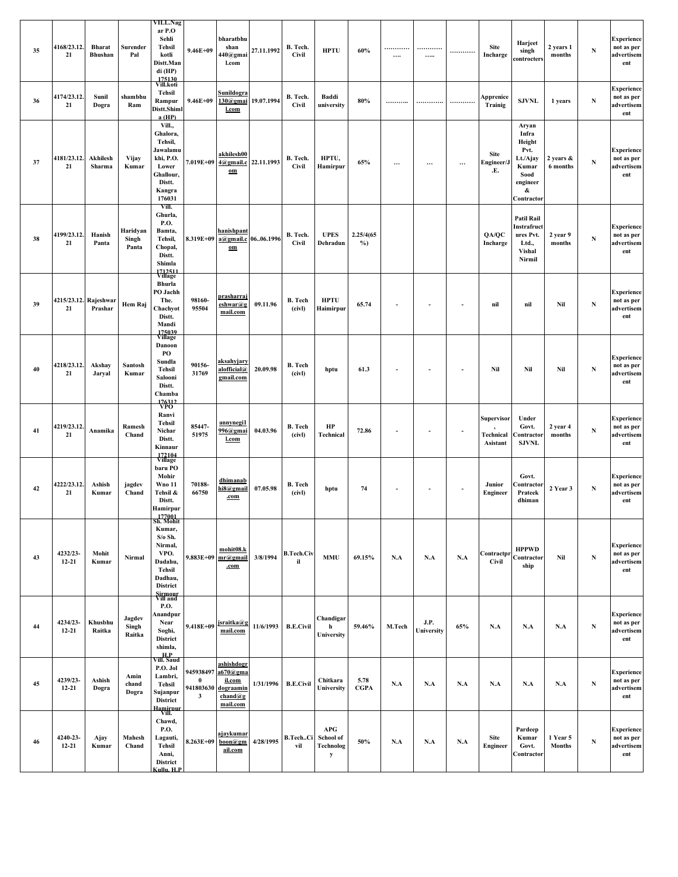| 35 | 4168/23.12.<br>21           | <b>Bharat</b><br>Bhushan | Surender<br>Pal            | VILL.Nag<br>ar P.O<br>Sehli<br><b>Tehsil</b><br>kotli<br>Distt.Man<br>di (HP)<br>175130                                | $9.46E + 09$                                       | bharatbhu<br>shan<br>440@gmai<br>l.com                                 | 27.11.1992          | B. Tech.<br><b>Civil</b> | <b>HPTU</b>                                                   | 60%                 | .<br>$\cdots$            | <br>                     |                | <b>Site</b><br>Incharge             | Harjeet<br>singh<br>controcters                                                              | 2 years 1<br>months       | $\mathbf N$ | <b>Experience</b><br>not as per<br>advertisem<br>ent |
|----|-----------------------------|--------------------------|----------------------------|------------------------------------------------------------------------------------------------------------------------|----------------------------------------------------|------------------------------------------------------------------------|---------------------|--------------------------|---------------------------------------------------------------|---------------------|--------------------------|--------------------------|----------------|-------------------------------------|----------------------------------------------------------------------------------------------|---------------------------|-------------|------------------------------------------------------|
| 36 | 4174/23.12.<br>21           | Sunil<br>Dogra           | shambhu<br>Ram             | Vill.koti<br>Tehsil<br>Rampur<br>Distt.Shiml<br>a(HP)                                                                  | $9.46E + 09$                                       | <u>Sunildogra</u><br>$130$ @gmai<br><b>l.com</b>                       | 19.07.1994          | B. Tech.<br><b>Civil</b> | Baddi<br>university                                           | 80%                 |                          |                          |                | Apprenice<br>Trainig                | <b>SJVNL</b>                                                                                 | 1 years                   | ${\bf N}$   | <b>Experience</b><br>not as per<br>advertisem<br>ent |
| 37 | 4181/23.12.<br>21           | Akhilesh<br>Sharma       | Vijay<br>Kumar             | Vill.,<br>Ghalora,<br>Tehsil,<br>Jawalamu<br>khi, P.O.<br>Lower<br>Ghallour,<br>Distt.<br>Kangra<br>176031             |                                                    | akhilesh00<br>7.019E+09 4@gmail.c 22.11.1993<br>$0\,$ m                |                     | B. Tech.<br><b>Civil</b> | HPTU,<br>Hamirpur                                             | 65%                 | $\cdots$                 | $\cdots$                 | $\cdots$       | Site<br>Engineer/J<br>.E.           | Aryan<br>Infra<br>Height<br>Pvt.<br>Lt./Ajay<br>Kumar<br>Sood<br>engineer<br>&<br>Contractor | 2 years &<br>6 months     | ${\bf N}$   | <b>Experience</b><br>not as per<br>advertisem<br>ent |
| 38 | 4199/23.12.<br>21           | Hanish<br>Panta          | Haridyan<br>Singh<br>Panta | Vill.<br>Ghurla,<br><b>P.O.</b><br>Bamta,<br>Tehsil,<br>Chopal,<br>Distt.<br>Shimla<br>$\sqrt[12511]{12511}$           | 8.319E+09                                          | hanishpant<br>$\underline{\mathbf{om}}$                                | a@gmail.c 0606.1996 | B. Tech.<br><b>Civil</b> | <b>UPES</b><br>Dehradun                                       | 2.25/4(65<br>$\%$ ) |                          |                          |                | QA/QC<br>Incharge                   | <b>Patil Rail</b><br>Instrafruct<br>ures Pvt.<br>Ltd.,<br>Vishal<br>Nirmil                   | 2 year 9<br>months        | ${\bf N}$   | <b>Experience</b><br>not as per<br>advertisem<br>ent |
| 39 | 4215/23.12. Rajeshwar<br>21 | Prashar                  | Hem Raj                    | Bhurla<br>PO Jachh<br>The.<br>Chachyot<br>Distt.<br>Mandi<br>175039<br>Village                                         | 98160-<br>95504                                    | prasharraj<br>eshwar@g<br>mail.com                                     | 09.11.96            | <b>B.</b> Tech<br>(civl) | <b>HPTU</b><br>Haimirpur                                      | 65.74               | $\overline{\phantom{a}}$ | $\overline{\phantom{a}}$ |                | nil                                 | nil                                                                                          | Nil                       | ${\bf N}$   | <b>Experience</b><br>not as per<br>advertisem<br>ent |
| 40 | 4218/23.12.<br>21           | Akshay<br>Jaryal         | Santosh<br>Kumar           | Danoon<br>PО<br>Sundla<br><b>Tehsil</b><br>Salooni<br>Distt.<br>Chamba                                                 | 90156-<br>31769                                    | <u>aksahyjary</u><br>alofficial@<br>gmail.com                          | 20.09.98            | <b>B.</b> Tech<br>(civl) | hptu                                                          | 61.3                | $\overline{\phantom{a}}$ | $\sim$                   | $\blacksquare$ | Nil                                 | Nil                                                                                          | Nil                       | ${\bf N}$   | <b>Experience</b><br>not as per<br>advertisem<br>ent |
| 41 | 4219/23.12.<br>21           | Anamika                  | Ramesh<br>Chand            | 176312<br>VPO<br>Ranvi<br><b>Tehsil</b><br>Nichar<br>Distt.<br>Kinnaur<br>172104<br>Village                            | 85447-<br>51975                                    | annynegi1<br>996@gmai<br>l.com                                         | 04.03.96            | <b>B.</b> Tech<br>(civl) | HP<br>Technical                                               | 72.86               |                          |                          |                | Supervisor<br>Technical<br>Asistant | Under<br>Govt.<br><b>contractor</b><br><b>SJVNL</b>                                          | 2 year 4<br>months        | $\mathbf N$ | <b>Experience</b><br>not as per<br>advertisem<br>ent |
| 42 | 4222/23.12.<br>21           | Ashish<br>Kumar          | jagdev<br>Chand            | baru PO<br>Mohir<br><b>Wno 11</b><br>Tehsil &<br>Distt.<br>Hamirpur                                                    | 70188-<br>66750                                    | dhimanab<br>hi8@gmail<br>.com                                          | 07.05.98            | <b>B.</b> Tech<br>(civl) | hptu                                                          | 74                  | $\blacksquare$           | $\overline{\phantom{a}}$ | $\blacksquare$ | Junior<br><b>Engineer</b>           | Govt.<br>Contractor<br>Prateek<br>dhiman                                                     | 2 Year 3                  | $\mathbf N$ | <b>Experience</b><br>not as per<br>advertisem<br>ent |
| 43 | 4232/23-<br>$12 - 21$       | Mohit<br>Kumar           | Nirmal                     | 177001<br>Sh. Mohit<br>Kumar,<br>$S/\sigma S$ h.<br>Nirmal,<br>VPO.<br>Dadahu,<br>Tehsil<br>Dadhau,<br><b>District</b> |                                                    | mohit08.k<br>9.883E+09 mr@gmail<br>.com                                | 3/8/1994            | <b>B.Tech.Civ</b><br>il  | <b>MMU</b>                                                    | 69.15%              | N.A                      | N.A                      | N.A            | Contractpr<br><b>Civil</b>          | <b>HPPWD</b><br>Contractor<br>ship                                                           | Nil                       | ${\bf N}$   | <b>Experience</b><br>not as per<br>advertisem<br>ent |
| 44 | 4234/23-<br>$12 - 21$       | Khusbhu<br>Raitka        | Jagdev<br>Singh<br>Raitka  | Sirmour<br>Vill and<br><b>P.O.</b><br>Anandpur<br>Near<br>Soghi,<br><b>District</b><br>shimla,                         | 9.418E+09                                          | jsraitka@g<br>mail.com                                                 | 11/6/1993           | <b>B.E.Civil</b>         | Chandigar<br>h<br>University                                  | 59.46%              | M.Tech                   | J.P.<br>University       | 65%            | N.A                                 | N.A                                                                                          | N.A                       | $\mathbf N$ | <b>Experience</b><br>not as per<br>advertisem<br>ent |
| 45 | 4239/23-<br>$12 - 21$       | Ashish<br>Dogra          | Amin<br>chand<br>Dogra     | H.P<br>Vill. Saud<br>P.O. Jol<br>Lambri,<br><b>Tehsil</b><br>Sujanpur<br><b>District</b><br>Hamirnur<br>Vill.          | 945938497<br>$\bf{0}$<br>941803630<br>$\mathbf{3}$ | ashishdogr<br>a670@gma<br>il.com<br>dograamin<br>$chand@g$<br>mail.com | 1/31/1996           | <b>B.E.Civil</b>         | Chitkara<br>University                                        | 5.78<br><b>CGPA</b> | N.A                      | N.A                      | N.A            | N.A                                 | N.A                                                                                          | N.A                       | $\mathbf N$ | <b>Experience</b><br>not as per<br>advertisem<br>ent |
| 46 | 4240-23-<br>$12 - 21$       | Ajay<br>Kumar            | Mahesh<br>Chand            | Chawd,<br><b>P.O.</b><br>Lagauti,<br><b>Tehsil</b><br>Anni,<br><b>District</b><br>Cullu, H.P.                          | 8.263E+09                                          | <u>ajavkumar</u><br>$\mathbf{boon}$ @gm<br>ail.com                     | 4/28/1995           | B.TechCi<br>vil          | $\bf{A} \bf{P} \bf{G}$<br>School of<br>Technolog<br>${\bf y}$ | 50%                 | N.A                      | N.A                      | N.A            | <b>Site</b><br>Engineer             | Pardeep<br>Kumar<br>Govt.<br>Contractor                                                      | 1 Year 5<br><b>Months</b> | ${\bf N}$   | <b>Experience</b><br>not as per<br>advertisem<br>ent |